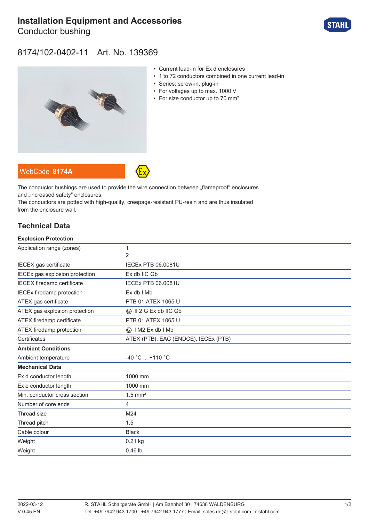# **[Installation Equipment and Accessories](https://r-stahl.com/en/global/products/materialid/139369)**

Conductor bushing



### 8174/102-0402-11 Art. No. 139369



- Current lead-in for Ex d enclosures
- 1 to 72 conductors combined in one current lead-in
- Series: screw-in, plug-in
- For voltages up to max. 1000 V
- For size conductor up to 70 mm<sup>2</sup>

The conductor bushings are used to provide the wire connection between "flameproof" enclosures and .increased safety" enclosures.

The conductors are potted with high-quality, creepage-resistant PU-resin and are thus insulated from the enclosure wall.

#### **Technical Data**

WebCode **[8174A](https://r-stahl.com/en/global/products/downloads/webcode/8174A)**

| <b>Explosion Protection</b>       |                                         |
|-----------------------------------|-----------------------------------------|
| Application range (zones)         | 1                                       |
|                                   | 2                                       |
| IECEX gas certificate             | <b>IECEX PTB 06.0081U</b>               |
| IECEx gas explosion protection    | Ex db IIC Gb                            |
| <b>IECEX</b> firedamp certificate | <b>IECEX PTB 06.0081U</b>               |
| <b>IECEx firedamp protection</b>  | Ex db I Mb                              |
| ATEX gas certificate              | PTB 01 ATEX 1065 U                      |
| ATEX gas explosion protection     | $\langle x \rangle$ II 2 G Ex db IIC Gb |
| ATEX firedamp certificate         | PTB 01 ATEX 1065 U                      |
| ATEX firedamp protection          | $\langle x \rangle$   M2 Ex db   Mb     |
| Certificates                      | ATEX (PTB), EAC (ENDCE), IECEx (PTB)    |
| <b>Ambient Conditions</b>         |                                         |
| Ambient temperature               | -40 °C  +110 °C                         |
| <b>Mechanical Data</b>            |                                         |
| Ex d conductor length             | 1000 mm                                 |
| Ex e conductor length             | 1000 mm                                 |
| Min. conductor cross section      | $1.5$ mm <sup>2</sup>                   |
| Number of core ends               | 4                                       |
| Thread size                       | M24                                     |
| Thread pitch                      | 1,5                                     |
| Cable colour                      | <b>Black</b>                            |
| Weight                            | $0.21$ kg                               |
| Weight                            | $0.46$ lb                               |